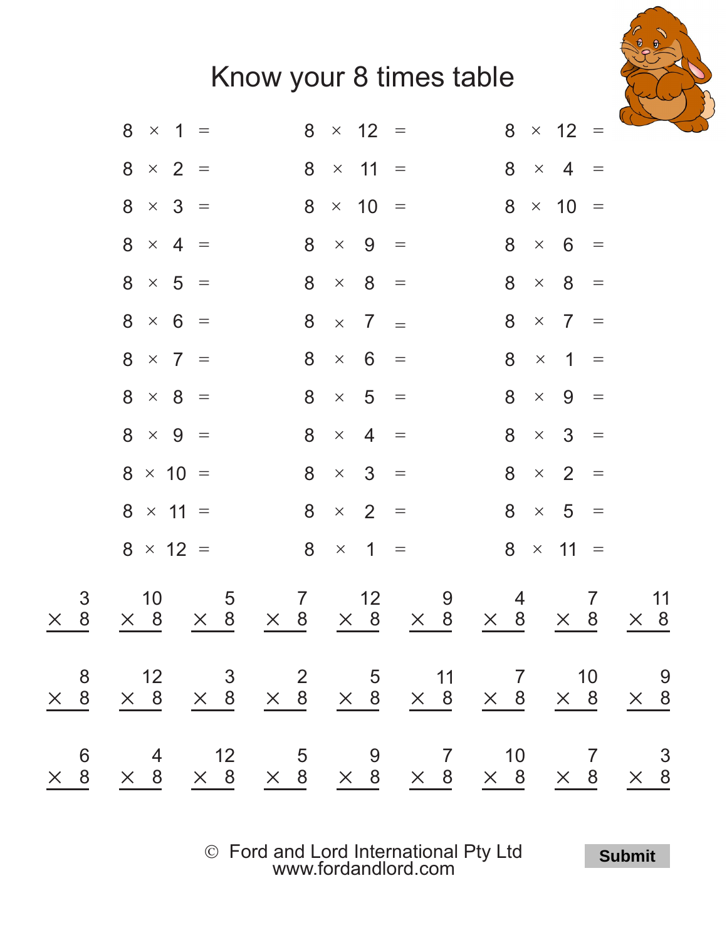

|                          | 8<br>$\times$ 1 =                   | $8 \times 12 =$                                  |                 | 8<br>$\times$ 12 =                                 |                  |
|--------------------------|-------------------------------------|--------------------------------------------------|-----------------|----------------------------------------------------|------------------|
|                          | $8 \times 2 =$                      | $8 \times 11 =$                                  |                 | $8 \times 4 =$                                     |                  |
|                          | $8 \times 3 =$                      | $8 \times 10 =$                                  |                 | $8 \times 10 =$                                    |                  |
|                          | $8 \times 4 =$                      | $8 \times 9 =$                                   |                 | $8 \times 6$<br>$\equiv$                           |                  |
|                          | $8 \times 5 =$                      | $8 \times 8 =$                                   |                 | $8 \times 8$<br>$\equiv$                           |                  |
|                          | $8 \times 6 =$                      | $8 \times 7 =$                                   |                 | $8 \times 7 =$                                     |                  |
|                          | $8 \times 7 =$                      | $8 \times 6 =$                                   |                 | $8 \times 1 =$                                     |                  |
|                          | $8 \times 8 =$                      | $8 \times 5 =$                                   |                 | $8 \times 9$<br>$\qquad \qquad =$                  |                  |
|                          | $8 \times 9 =$                      | $8 \times 4 =$                                   |                 | $8 \times 3 =$                                     |                  |
|                          | $8 \times 10 =$                     | $8 \times 3 =$                                   |                 | $8 \times 2$<br>$=$                                |                  |
|                          | $8 \times 11 =$                     | $8 \times 2 =$                                   |                 | $8 \times 5 =$                                     |                  |
|                          | $8 \times 12 =$                     | $8 \times 1 =$                                   |                 | $8 \times 11 =$                                    |                  |
| 3<br>8 <sup>8</sup><br>X | 5<br>10<br>$\times$ 8<br>$\times$ 8 | $\overline{7}$<br>12<br>$\times$ 8<br>$\times$ 8 | 9<br>$\times$ 8 | $\overline{7}$<br>4<br>$\times$ 8<br>8<br>$\times$ | 11<br>$\times$ 8 |
|                          |                                     |                                                  |                 |                                                    |                  |
|                          |                                     |                                                  |                 |                                                    |                  |

Ó Ford and Lord International Pty Ltd [www.fordandlord.com](http://www.fordandlord.com)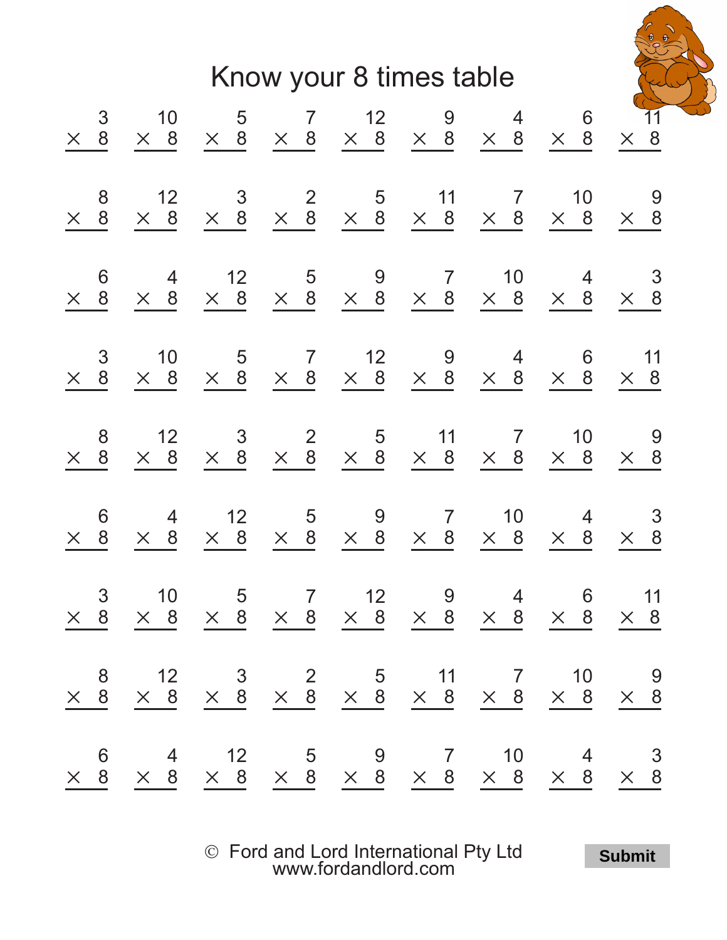

|  | $\times$ 8                                                                                                                                              | 6<br>$rac{8}{1}$<br>$\times$                                                                                                               | 8<br>$\frac{8}{1}$<br>$\times$                                                                                                                            | $\mathfrak{S}$<br>$\frac{8}{5}$<br>$\times$                                                                                                                  | 6<br>$\frac{8}{9}$<br>$\times$                                                                                                       | 8<br>$\times$ 8                                                                                                                                           |                               |
|--|---------------------------------------------------------------------------------------------------------------------------------------------------------|--------------------------------------------------------------------------------------------------------------------------------------------|-----------------------------------------------------------------------------------------------------------------------------------------------------------|--------------------------------------------------------------------------------------------------------------------------------------------------------------|--------------------------------------------------------------------------------------------------------------------------------------|-----------------------------------------------------------------------------------------------------------------------------------------------------------|-------------------------------|
|  | 10<br>$\times$ 8                                                                                                                                        | $\overline{4}$<br>$\times$ 8                                                                                                               | 12<br>$\times$ 8                                                                                                                                          | 10<br>$\times$ 8                                                                                                                                             | $\overline{4}$<br>$\times$ 8                                                                                                         | 12<br>$\times$ 8                                                                                                                                          |                               |
|  |                                                                                                                                                         |                                                                                                                                            |                                                                                                                                                           |                                                                                                                                                              |                                                                                                                                      |                                                                                                                                                           |                               |
|  |                                                                                                                                                         |                                                                                                                                            |                                                                                                                                                           |                                                                                                                                                              |                                                                                                                                      |                                                                                                                                                           |                               |
|  |                                                                                                                                                         |                                                                                                                                            |                                                                                                                                                           |                                                                                                                                                              |                                                                                                                                      |                                                                                                                                                           |                               |
|  |                                                                                                                                                         |                                                                                                                                            |                                                                                                                                                           |                                                                                                                                                              |                                                                                                                                      |                                                                                                                                                           |                               |
|  | $\begin{array}{ccccccccccccc} & & &5 & & 7 & & 12 & & 9 & & 4 \\ \times & 8 & & \times & 8 & & \times & 8 & & \times & 8 & & \times & 8 \\ \end{array}$ | $\begin{array}{ccccccccc}\n & 12 & & 5 & & 9 & & 7 & & 10 \\ \times & 8 & & \times & 8 & & \times & 8 & & \times & 8 \\ \end{array}$<br>10 | $\begin{array}{ccccccccc}\n & 3 & & 2 & & 5 & & 11 & & 7 & & 10 \\ \times & 8 & & \times & 8 & & \times & 8 & & \times & 8 & & \times & 8 \\ \end{array}$ | $\begin{array}{ccccccccc} & & & & & & 5 & & 7 & & 12 & & 9 & & 4 \\ \times & & 8 & & \times & 8 & & \times & 8 & & \times & 8 & & \times & 8 \\ \end{array}$ | $\begin{array}{ccccccccc}\n & 12 & & 5 & & 9 & & 7 & & 10 \\ \times & 8 & & \times & 8 & & \times & 8 & & \times & 8 \\ \end{array}$ | $\begin{array}{ccccccccc}\n & 3 & & 2 & & 5 & & 11 & & 7 & & 10 \\ \times & 8 & & \times & 8 & & \times & 8 & & \times & 8 & & \times & 8 \\ \end{array}$ |                               |
|  | $\begin{matrix} & 6 \\ \times & 8 \\ \hline \end{matrix}$                                                                                               | $\overline{4}$<br>$\times$ 8                                                                                                               |                                                                                                                                                           | $\begin{array}{c} 6 \\ \times 8 \end{array}$                                                                                                                 | $\begin{array}{c}\n4 \\ \times 8\n\end{array}$                                                                                       |                                                                                                                                                           |                               |
|  | 11<br>$\times$ 8                                                                                                                                        | $\mathbf{3}$<br>$\times$ 8                                                                                                                 | $\begin{array}{c} 9 \\ \times 8 \end{array}$                                                                                                              | 11<br>$\times$ 8                                                                                                                                             | $\begin{array}{c}\n 3 \\  \times 8\n \end{array}$                                                                                    | $\begin{array}{c} 9 \\ \times 8 \end{array}$                                                                                                              | $\overline{11}$<br>$\times$ 8 |

Ó Ford and Lord International Pty Ltd [www.fordandlord.com](http://www.fordandlord.com)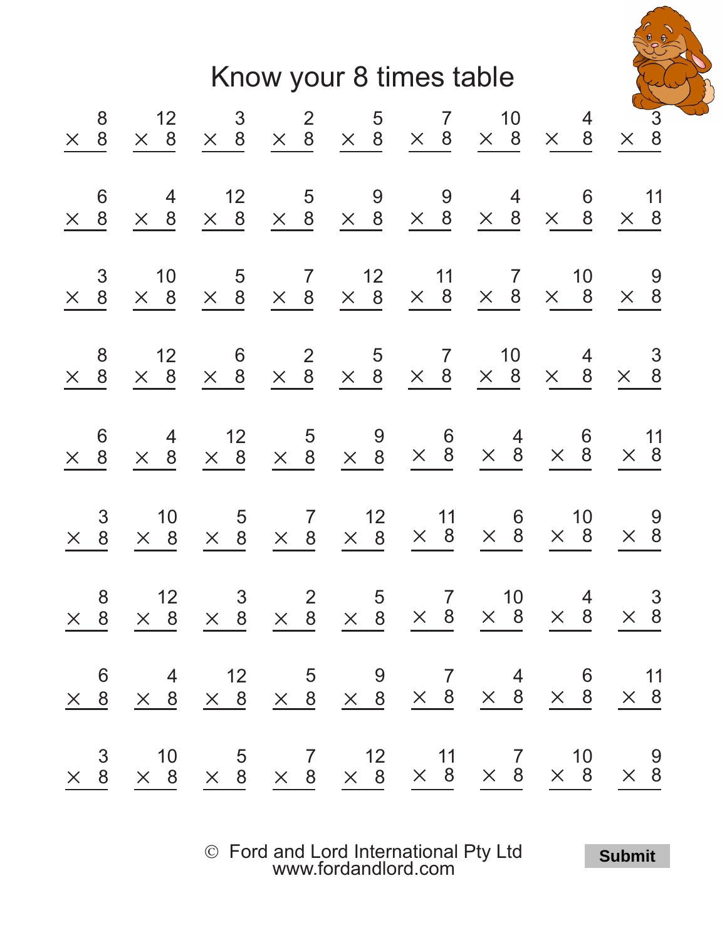

| $\begin{array}{ccccccccccccc} & 3 & & 10 & & 5 & & 7 & & 12 & & 11 & & 7 & & 10 & & 9 \\ \times & 8 & & \times & 8 & & \times & 8 & & \times & 8 & & \times & 8 & & \times & 8 & & \times & 8 \\ \end{array}$ | 8<br>$\overline{8}$<br>$\times$                    | $\mathfrak{S}$<br>8<br>$\times$                                                 | 6<br>8<br>$\times$                                                                                       | 8<br>8<br>$\times$                                                  | 3<br>8<br>$\times$                                  | 6<br>$\times$ 8                                                                                           | $\begin{array}{c} 8 \\ 8 \end{array}$<br>$\times$                   |
|---------------------------------------------------------------------------------------------------------------------------------------------------------------------------------------------------------------|----------------------------------------------------|---------------------------------------------------------------------------------|----------------------------------------------------------------------------------------------------------|---------------------------------------------------------------------|-----------------------------------------------------|-----------------------------------------------------------------------------------------------------------|---------------------------------------------------------------------|
|                                                                                                                                                                                                               | 12<br>$\times$ 8                                   | 10<br>$\times$ 8                                                                | 4<br>$\times$ 8                                                                                          | 12<br>$\times$ 8                                                    | 10<br>$\times$ 8                                    | $\overline{4}$<br>$\times$ 8                                                                              | $\begin{array}{r} 12 \\ \times \quad 8 \end{array}$                 |
|                                                                                                                                                                                                               | $\overline{\mathbf{3}}$<br>$\times$ 8              | $\overline{5}$<br>$\times$ 8                                                    |                                                                                                          | $\begin{array}{c} 6 \\ \times 8 \end{array}$                        | $5\overline{5}$<br>$\times$ 8                       | 12                                                                                                        | $\begin{array}{r} 3 \\ \times 8 \end{array}$                        |
|                                                                                                                                                                                                               | $\overline{\mathbf{c}}$<br>$\times$ 8              |                                                                                 |                                                                                                          | $\begin{array}{r} 2 \\ \times 8 \end{array}$                        | $\frac{7}{2}$<br>$\times$ 8                         | $\overline{5}$                                                                                            | $\begin{array}{r} 2 & 5 \\ \times & 8 \\ \end{array}$               |
|                                                                                                                                                                                                               | $\begin{array}{c} 5 \\ \times \quad 8 \end{array}$ | $\begin{array}{cc} 7 & 12 \\ \times & 8 & \times & 8 \end{array}$               | $\begin{array}{ccccc} & 12 & & 5 & & 9 & & 6 \\ \times & 8 & & \times & 8 & & \times & 8 \\ \end{array}$ |                                                                     | 12<br>$\times$ 8                                    | $\overline{9}$<br>$\begin{array}{ccccc} \times & 8 & \times & 8 & \times & 8 & \times & 8 \\ \end{array}$ |                                                                     |
|                                                                                                                                                                                                               | $\overline{7}$<br>$\times$ 8                       |                                                                                 |                                                                                                          | $\begin{array}{ccc} & 5 & 7 \\ \times & 8 & \times & 8 \end{array}$ | $\begin{array}{r} 11 \\ \times \quad 8 \end{array}$ | 9                                                                                                         |                                                                     |
|                                                                                                                                                                                                               | 10<br>$\times$ 8                                   | $\begin{array}{ccc} & 11 & & 6 \\ \times & 8 & \times & 8 & \times \end{array}$ | $\times$ 8                                                                                               | 10<br>$\times$ 8                                                    | $\times$ 8                                          | $\begin{array}{c}\n4 \\ \times 8\n\end{array}$                                                            | $\begin{array}{cc} & 7 & 10 \\ \times & 8 & \times & 8 \end{array}$ |
|                                                                                                                                                                                                               | $\frac{4}{ }$<br>$\times$ 8                        | 10<br>$\times$ 8                                                                | $\begin{matrix} & 6 \\ \times & 8 \end{matrix}$                                                          | $\overline{4}$<br>8<br>$\times$                                     | 10<br>$\times$<br>8                                 | $6\phantom{1}6$<br>$\times$ 8                                                                             | $\overline{4}$<br>$\times$ 8                                        |
|                                                                                                                                                                                                               | $\times$ $\frac{3}{8}$                             | $\times$ 8                                                                      | $\times$ 11<br>$\times$ 8                                                                                | $\times$ $\begin{array}{c} 3 \\ 8 \end{array}$                      | 9<br>$\times$ 8                                     | 11<br>$\times$ 8                                                                                          | $\times$ $\frac{3}{8}$                                              |

Ó Ford and Lord International Pty Ltd [www.fordandlord.com](http://www.fordandlord.com)